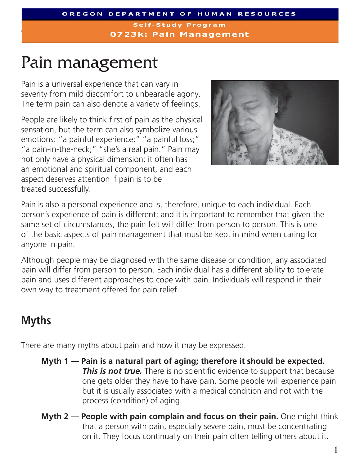**Self-Study Program 0723k: Pain Management** 

# Pain management

Pain is a universal experience that can vary in severity from mild discomfort to unbearable agony. The term pain can also denote a variety of feelings.

People are likely to think first of pain as the physical sensation, but the term can also symbolize various emotions: "a painful experience;" "a painful loss;" "a pain-in-the-neck;" "she's a real pain." Pain may not only have a physical dimension; it often has an emotional and spiritual component, and each aspect deserves attention if pain is to be treated successfully.



Pain is also a personal experience and is, therefore, unique to each individual. Each person's experience of pain is different; and it is important to remember that given the same set of circumstances, the pain felt will differ from person to person. This is one of the basic aspects of pain management that must be kept in mind when caring for anyone in pain.

Although people may be diagnosed with the same disease or condition, any associated pain will differ from person to person. Each individual has a different ability to tolerate pain and uses different approaches to cope with pain. Individuals will respond in their own way to treatment offered for pain relief.

### **Myths**

There are many myths about pain and how it may be expressed.

- **Myth 1 — Pain is a natural part of aging; therefore it should be expected. This is not true.** There is no scientific evidence to support that because one gets older they have to have pain. Some people will experience pain but it is usually associated with a medical condition and not with the process (condition) of aging.
- **Myth 2 — People with pain complain and focus on their pain.** One might think that a person with pain, especially severe pain, must be concentrating on it. They focus continually on their pain often telling others about it.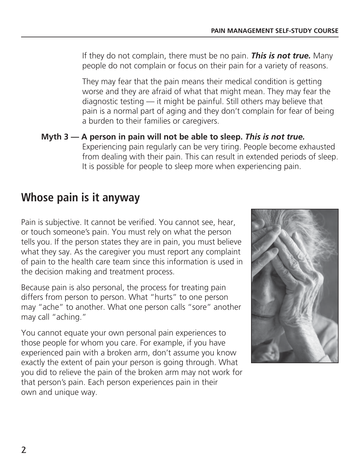If they do not complain, there must be no pain. *This is not true.* Many people do not complain or focus on their pain for a variety of reasons.

 They may fear that the pain means their medical condition is getting worse and they are afraid of what that might mean. They may fear the diagnostic testing — it might be painful. Still others may believe that pain is a normal part of aging and they don't complain for fear of being a burden to their families or caregivers.

**Myth 3 — A person in pain will not be able to sleep.** *This is not true.*  Experiencing pain regularly can be very tiring. People become exhausted from dealing with their pain. This can result in extended periods of sleep. It is possible for people to sleep more when experiencing pain.

#### **Whose pain is it anyway**

Pain is subjective. It cannot be verified. You cannot see, hear, or touch someone's pain. You must rely on what the person tells you. If the person states they are in pain, you must believe what they say. As the caregiver you must report any complaint of pain to the health care team since this information is used in the decision making and treatment process.

Because pain is also personal, the process for treating pain differs from person to person. What "hurts" to one person may "ache" to another. What one person calls "sore" another may call "aching."

You cannot equate your own personal pain experiences to those people for whom you care. For example, if you have experienced pain with a broken arm, don't assume you know exactly the extent of pain your person is going through. What you did to relieve the pain of the broken arm may not work for that person's pain. Each person experiences pain in their own and unique way.

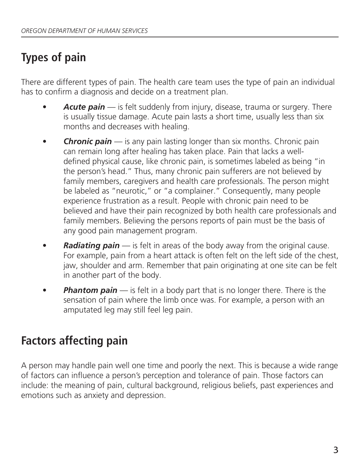## **Types of pain**

There are different types of pain. The health care team uses the type of pain an individual has to confirm a diagnosis and decide on a treatment plan.

- **Acute pain** is felt suddenly from injury, disease, trauma or surgery. There is usually tissue damage. Acute pain lasts a short time, usually less than six months and decreases with healing.
- **Chronic pain** is any pain lasting longer than six months. Chronic pain can remain long after healing has taken place. Pain that lacks a welldefined physical cause, like chronic pain, is sometimes labeled as being "in the person's head." Thus, many chronic pain sufferers are not believed by family members, caregivers and health care professionals. The person might be labeled as "neurotic," or "a complainer." Consequently, many people experience frustration as a result. People with chronic pain need to be believed and have their pain recognized by both health care professionals and family members. Believing the persons reports of pain must be the basis of any good pain management program.
- *Radiating pain* is felt in areas of the body away from the original cause. For example, pain from a heart attack is often felt on the left side of the chest, jaw, shoulder and arm. Remember that pain originating at one site can be felt in another part of the body.
- **Phantom pain** is felt in a body part that is no longer there. There is the sensation of pain where the limb once was. For example, a person with an amputated leg may still feel leg pain.

### **Factors affecting pain**

A person may handle pain well one time and poorly the next. This is because a wide range of factors can influence a person's perception and tolerance of pain. Those factors can include: the meaning of pain, cultural background, religious beliefs, past experiences and emotions such as anxiety and depression.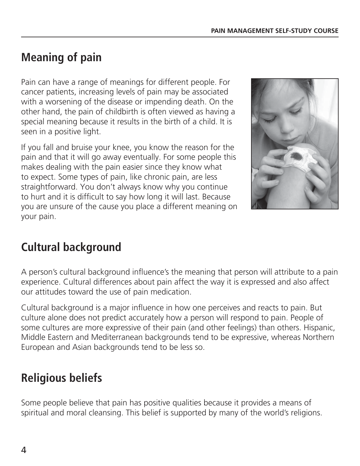### **Meaning of pain**

Pain can have a range of meanings for different people. For cancer patients, increasing levels of pain may be associated with a worsening of the disease or impending death. On the other hand, the pain of childbirth is often viewed as having a special meaning because it results in the birth of a child. It is seen in a positive light.

If you fall and bruise your knee, you know the reason for the pain and that it will go away eventually. For some people this makes dealing with the pain easier since they know what to expect. Some types of pain, like chronic pain, are less straightforward. You don't always know why you continue to hurt and it is difficult to say how long it will last. Because you are unsure of the cause you place a different meaning on your pain.



### **Cultural background**

A person's cultural background influence's the meaning that person will attribute to a pain experience. Cultural differences about pain affect the way it is expressed and also affect our attitudes toward the use of pain medication.

Cultural background is a major influence in how one perceives and reacts to pain. But culture alone does not predict accurately how a person will respond to pain. People of some cultures are more expressive of their pain (and other feelings) than others. Hispanic, Middle Eastern and Mediterranean backgrounds tend to be expressive, whereas Northern European and Asian backgrounds tend to be less so.

### **Religious beliefs**

Some people believe that pain has positive qualities because it provides a means of spiritual and moral cleansing. This belief is supported by many of the world's religions.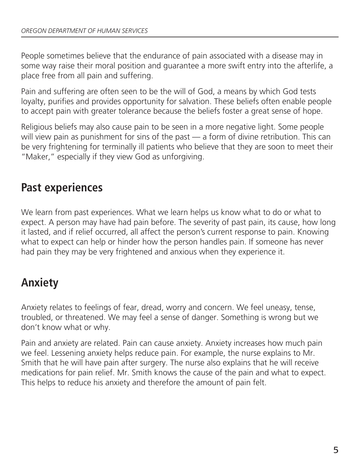People sometimes believe that the endurance of pain associated with a disease may in some way raise their moral position and guarantee a more swift entry into the afterlife, a place free from all pain and suffering.

Pain and suffering are often seen to be the will of God, a means by which God tests loyalty, purifies and provides opportunity for salvation. These beliefs often enable people to accept pain with greater tolerance because the beliefs foster a great sense of hope.

Religious beliefs may also cause pain to be seen in a more negative light. Some people will view pain as punishment for sins of the past — a form of divine retribution. This can be very frightening for terminally ill patients who believe that they are soon to meet their "Maker," especially if they view God as unforgiving.

#### **Past experiences**

We learn from past experiences. What we learn helps us know what to do or what to expect. A person may have had pain before. The severity of past pain, its cause, how long it lasted, and if relief occurred, all affect the person's current response to pain. Knowing what to expect can help or hinder how the person handles pain. If someone has never had pain they may be very frightened and anxious when they experience it.

### **Anxiety**

Anxiety relates to feelings of fear, dread, worry and concern. We feel uneasy, tense, troubled, or threatened. We may feel a sense of danger. Something is wrong but we don't know what or why.

Pain and anxiety are related. Pain can cause anxiety. Anxiety increases how much pain we feel. Lessening anxiety helps reduce pain. For example, the nurse explains to Mr. Smith that he will have pain after surgery. The nurse also explains that he will receive medications for pain relief. Mr. Smith knows the cause of the pain and what to expect. This helps to reduce his anxiety and therefore the amount of pain felt.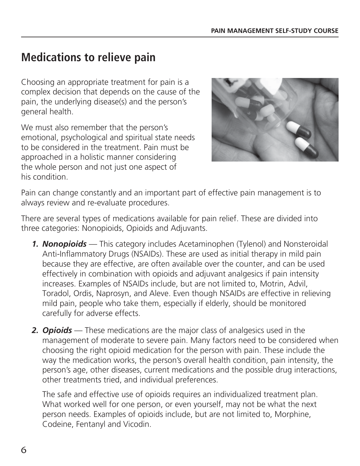#### **Medications to relieve pain**

Choosing an appropriate treatment for pain is a complex decision that depends on the cause of the pain, the underlying disease(s) and the person's general health.

We must also remember that the person's emotional, psychological and spiritual state needs to be considered in the treatment. Pain must be approached in a holistic manner considering the whole person and not just one aspect of his condition.



Pain can change constantly and an important part of effective pain management is to always review and re-evaluate procedures.

There are several types of medications available for pain relief. These are divided into three categories: Nonopioids, Opioids and Adjuvants.

- **1. Nonopioids** This category includes Acetaminophen (Tylenol) and Nonsteroidal Anti-Inflammatory Drugs (NSAIDs). These are used as initial therapy in mild pain because they are effective, are often available over the counter, and can be used effectively in combination with opioids and adjuvant analgesics if pain intensity increases. Examples of NSAIDs include, but are not limited to, Motrin, Advil, Toradol, Ordis, Naprosyn, and Aleve. Even though NSAIDs are effective in relieving mild pain, people who take them, especially if elderly, should be monitored carefully for adverse effects.
- **2. Opioids** These medications are the major class of analgesics used in the management of moderate to severe pain. Many factors need to be considered when choosing the right opioid medication for the person with pain. These include the way the medication works, the person's overall health condition, pain intensity, the person's age, other diseases, current medications and the possible drug interactions, other treatments tried, and individual preferences.

The safe and effective use of opioids requires an individualized treatment plan. What worked well for one person, or even yourself, may not be what the next person needs. Examples of opioids include, but are not limited to, Morphine, Codeine, Fentanyl and Vicodin.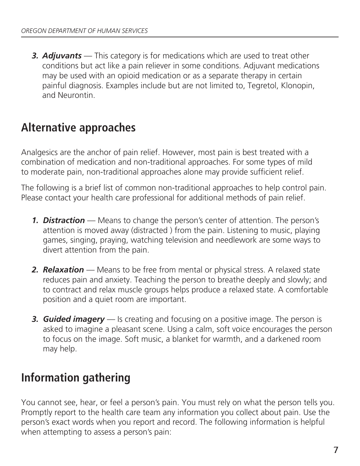**3. Adjuvants** — This category is for medications which are used to treat other conditions but act like a pain reliever in some conditions. Adjuvant medications may be used with an opioid medication or as a separate therapy in certain painful diagnosis. Examples include but are not limited to, Tegretol, Klonopin, and Neurontin.

#### **Alternative approaches**

Analgesics are the anchor of pain relief. However, most pain is best treated with a combination of medication and non-traditional approaches. For some types of mild to moderate pain, non-traditional approaches alone may provide sufficient relief.

The following is a brief list of common non-traditional approaches to help control pain. Please contact your health care professional for additional methods of pain relief.

- *1. Distraction* Means to change the person's center of attention. The person's attention is moved away (distracted ) from the pain. Listening to music, playing games, singing, praying, watching television and needlework are some ways to divert attention from the pain.
- *2. Relaxation* Means to be free from mental or physical stress. A relaxed state reduces pain and anxiety. Teaching the person to breathe deeply and slowly; and to contract and relax muscle groups helps produce a relaxed state. A comfortable position and a quiet room are important.
- **3. Guided imagery** Is creating and focusing on a positive image. The person is asked to imagine a pleasant scene. Using a calm, soft voice encourages the person to focus on the image. Soft music, a blanket for warmth, and a darkened room may help.

### **Information gathering**

You cannot see, hear, or feel a person's pain. You must rely on what the person tells you. Promptly report to the health care team any information you collect about pain. Use the person's exact words when you report and record. The following information is helpful when attempting to assess a person's pain: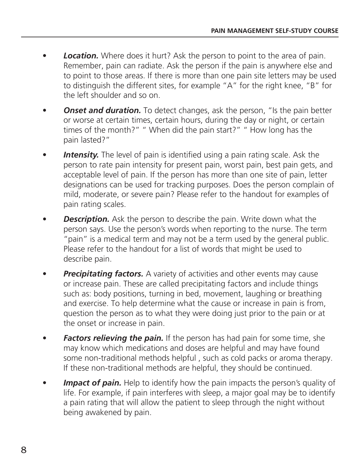- *Location.* Where does it hurt? Ask the person to point to the area of pain. Remember, pain can radiate. Ask the person if the pain is anywhere else and to point to those areas. If there is more than one pain site letters may be used to distinguish the different sites, for example "A" for the right knee, "B" for the left shoulder and so on.
- *Onset and duration.* To detect changes, ask the person, "Is the pain better or worse at certain times, certain hours, during the day or night, or certain times of the month?" " When did the pain start?" " How long has the pain lasted?"
- **Intensity.** The level of pain is identified using a pain rating scale. Ask the person to rate pain intensity for present pain, worst pain, best pain gets, and acceptable level of pain. If the person has more than one site of pain, letter designations can be used for tracking purposes. Does the person complain of mild, moderate, or severe pain? Please refer to the handout for examples of pain rating scales.
- *Description.* Ask the person to describe the pain. Write down what the person says. Use the person's words when reporting to the nurse. The term "pain" is a medical term and may not be a term used by the general public. Please refer to the handout for a list of words that might be used to describe pain.
- **Precipitating factors.** A variety of activities and other events may cause or increase pain. These are called precipitating factors and include things such as: body positions, turning in bed, movement, laughing or breathing and exercise. To help determine what the cause or increase in pain is from, question the person as to what they were doing just prior to the pain or at the onset or increase in pain.
- *Factors relieving the pain.* If the person has had pain for some time, she may know which medications and doses are helpful and may have found some non-traditional methods helpful , such as cold packs or aroma therapy. If these non-traditional methods are helpful, they should be continued.
- **Impact of pain.** Help to identify how the pain impacts the person's quality of life. For example, if pain interferes with sleep, a major goal may be to identify a pain rating that will allow the patient to sleep through the night without being awakened by pain.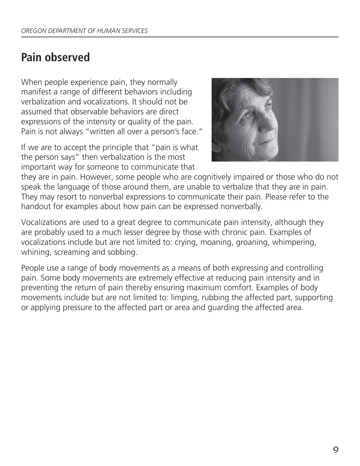#### **Pain observed**

When people experience pain, they normally manifest a range of different behaviors including verbalization and vocalizations. It should not be assumed that observable behaviors are direct expressions of the intensity or quality of the pain. Pain is not always "written all over a person's face."

If we are to accept the principle that "pain is what the person says" then verbalization is the most important way for someone to communicate that



they are in pain. However, some people who are cognitively impaired or those who do not speak the language of those around them, are unable to verbalize that they are in pain. They may resort to nonverbal expressions to communicate their pain. Please refer to the handout for examples about how pain can be expressed nonverbally.

Vocalizations are used to a great degree to communicate pain intensity, although they are probably used to a much lesser degree by those with chronic pain. Examples of vocalizations include but are not limited to: crying, moaning, groaning, whimpering, whining, screaming and sobbing.

People use a range of body movements as a means of both expressing and controlling pain. Some body movements are extremely effective at reducing pain intensity and in preventing the return of pain thereby ensuring maximum comfort. Examples of body movements include but are not limited to: limping, rubbing the affected part, supporting or applying pressure to the affected part or area and guarding the affected area.